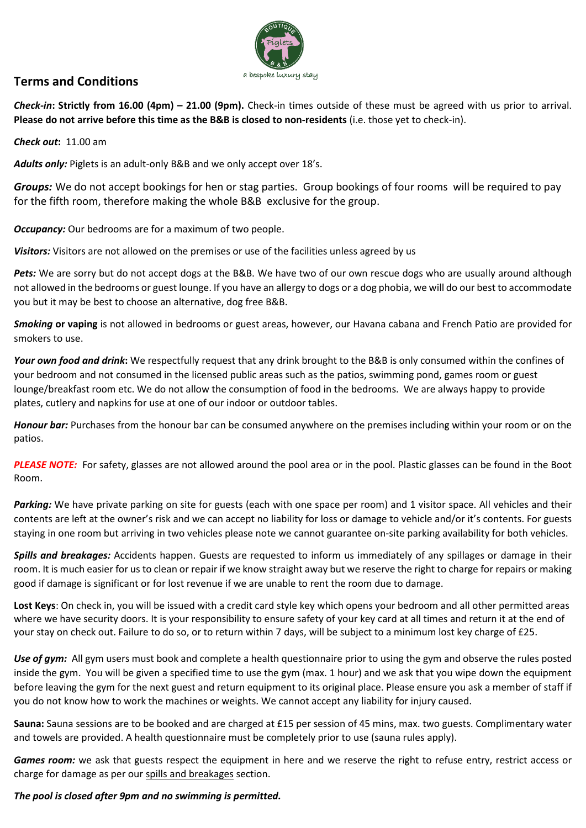

## **Terms and Conditions**

*Check-in***: Strictly from 16.00 (4pm) – 21.00 (9pm).** Check-in times outside of these must be agreed with us prior to arrival. **Please do not arrive before this time as the B&B is closed to non-residents** (i.e. those yet to check-in).

## *Check out***:** 11.00 am

*Adults only:* Piglets is an adult-only B&B and we only accept over 18's.

*Groups:* We do not accept bookings for hen or stag parties. Group bookings of four rooms will be required to pay for the fifth room, therefore making the whole B&B exclusive for the group.

*Occupancy:* Our bedrooms are for a maximum of two people.

*Visitors:* Visitors are not allowed on the premises or use of the facilities unless agreed by us

Pets: We are sorry but do not accept dogs at the B&B. We have two of our own rescue dogs who are usually around although not allowed in the bedrooms or guest lounge. If you have an allergy to dogs or a dog phobia, we will do our best to accommodate you but it may be best to choose an alternative, dog free B&B.

*Smoking* **or vaping** is not allowed in bedrooms or guest areas, however, our Havana cabana and French Patio are provided for smokers to use.

*Your own food and drink***:** We respectfully request that any drink brought to the B&B is only consumed within the confines of your bedroom and not consumed in the licensed public areas such as the patios, swimming pond, games room or guest lounge/breakfast room etc. We do not allow the consumption of food in the bedrooms. We are always happy to provide plates, cutlery and napkins for use at one of our indoor or outdoor tables.

*Honour bar:* Purchases from the honour bar can be consumed anywhere on the premises including within your room or on the patios.

*PLEASE NOTE:* For safety, glasses are not allowed around the pool area or in the pool. Plastic glasses can be found in the Boot Room.

*Parking:* We have private parking on site for guests (each with one space per room) and 1 visitor space. All vehicles and their contents are left at the owner's risk and we can accept no liability for loss or damage to vehicle and/or it's contents. For guests staying in one room but arriving in two vehicles please note we cannot guarantee on-site parking availability for both vehicles.

*Spills and breakages:* Accidents happen. Guests are requested to inform us immediately of any spillages or damage in their room. It is much easier for us to clean or repair if we know straight away but we reserve the right to charge for repairs or making good if damage is significant or for lost revenue if we are unable to rent the room due to damage.

**Lost Keys**: On check in, you will be issued with a credit card style key which opens your bedroom and all other permitted areas where we have security doors. It is your responsibility to ensure safety of your key card at all times and return it at the end of your stay on check out. Failure to do so, or to return within 7 days, will be subject to a minimum lost key charge of £25.

*Use of gym:* All gym users must book and complete a health questionnaire prior to using the gym and observe the rules posted inside the gym. You will be given a specified time to use the gym (max. 1 hour) and we ask that you wipe down the equipment before leaving the gym for the next guest and return equipment to its original place. Please ensure you ask a member of staff if you do not know how to work the machines or weights. We cannot accept any liability for injury caused.

**Sauna:** Sauna sessions are to be booked and are charged at £15 per session of 45 mins, max. two guests. Complimentary water and towels are provided. A health questionnaire must be completely prior to use (sauna rules apply).

*Games room:* we ask that guests respect the equipment in here and we reserve the right to refuse entry, restrict access or charge for damage as per our spills and breakages section.

## *The pool is closed after 9pm and no swimming is permitted.*